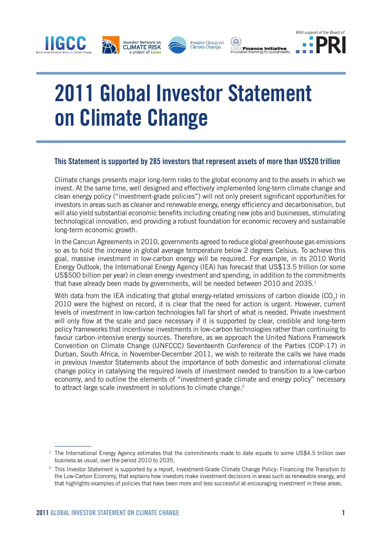

# 2011 Global Investor Statement on Climate Change

#### This Statement is supported by 285 investors that represent assets of more than US\$20 trillion

Climate change presents major long-term risks to the global economy and to the assets in which we invest. At the same time, well designed and effectively implemented long-term climate change and clean energy policy ("investment-grade policies") will not only present significant opportunities for investors in areas such as cleaner and renewable energy, energy efficiency and decarbonisation, but will also yield substantial economic benefits including creating new jobs and businesses, stimulating technological innovation, and providing a robust foundation for economic recovery and sustainable long-term economic growth.

In the Cancun Agreements in 2010, governments agreed to reduce global greenhouse gas emissions so as to hold the increase in global average temperature below 2 degrees Celsius. To achieve this goal, massive investment in low-carbon energy will be required. For example, in its 2010 World Energy Outlook, the International Energy Agency (IEA) has forecast that US\$13.5 trillion (or some US\$500 billion per year) in clean energy investment and spending, in addition to the commitments that have already been made by governments, will be needed between 2010 and 2035.<sup>1</sup>

With data from the IEA indicating that global energy-related emissions of carbon dioxide (CO<sub>2</sub>) in 2010 were the highest on record, it is clear that the need for action is urgent. However, current levels of investment in low-carbon technologies fall far short of what is needed. Private investment will only flow at the scale and pace necessary if it is supported by clear, credible and long-term policy frameworks that incentivise investments in low-carbon technologies rather than continuing to favour carbon-intensive energy sources. Therefore, as we approach the United Nations Framework Convention on Climate Change (UNFCCC) Seventeenth Conference of the Parties (COP-17) in Durban, South Africa, in November-December 2011, we wish to reiterate the calls we have made in previous Investor Statements about the importance of both domestic and international climate change policy in catalysing the required levels of investment needed to transition to a low-carbon economy, and to outline the elements of "investment-grade climate and energy policy" necessary to attract large scale investment in solutions to climate change.<sup>2</sup>

 $1$  The International Energy Agency estimates that the commitments made to date equate to some US\$4.5 trillion over business as usual, over the period 2010 to 2035.

<sup>&</sup>lt;sup>2</sup> This Investor Statement is supported by a report, Investment-Grade Climate Change Policy: Financing the Transition to the Low-Carbon Economy, that explains how investors make investment decisions in areas such as renewable energy, and that highlights examples of policies that have been more and less successful at encouraging investment in these areas.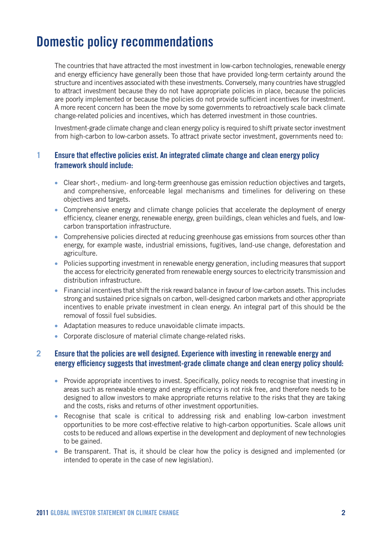### Domestic policy recommendations

The countries that have attracted the most investment in low-carbon technologies, renewable energy and energy efficiency have generally been those that have provided long-term certainty around the structure and incentives associated with these investments. Conversely, many countries have struggled to attract investment because they do not have appropriate policies in place, because the policies are poorly implemented or because the policies do not provide sufficient incentives for investment. A more recent concern has been the move by some governments to retroactively scale back climate change-related policies and incentives, which has deterred investment in those countries.

Investment-grade climate change and clean energy policy is required to shift private sector investment from high-carbon to low-carbon assets. To attract private sector investment, governments need to:

#### **1** Ensure that effective policies exist. An integrated climate change and clean energy policy framework should include:

- Clear short-, medium- and long-term greenhouse gas emission reduction objectives and targets, and comprehensive, enforceable legal mechanisms and timelines for delivering on these objectives and targets.
- Comprehensive energy and climate change policies that accelerate the deployment of energy efficiency, cleaner energy, renewable energy, green buildings, clean vehicles and fuels, and lowcarbon transportation infrastructure.
- Comprehensive policies directed at reducing greenhouse gas emissions from sources other than energy, for example waste, industrial emissions, fugitives, land-use change, deforestation and agriculture.
- Policies supporting investment in renewable energy generation, including measures that support the access for electricity generated from renewable energy sources to electricity transmission and distribution infrastructure.
- Financial incentives that shift the risk reward balance in favour of low-carbon assets. This includes strong and sustained price signals on carbon, well-designed carbon markets and other appropriate incentives to enable private investment in clean energy. An integral part of this should be the removal of fossil fuel subsidies.
- Adaptation measures to reduce unavoidable climate impacts.
- Corporate disclosure of material climate change-related risks.

#### **2** Ensure that the policies are well designed. Experience with investing in renewable energy and energy efficiency suggests that investment-grade climate change and clean energy policy should:

- Provide appropriate incentives to invest. Specifically, policy needs to recognise that investing in areas such as renewable energy and energy efficiency is not risk free, and therefore needs to be designed to allow investors to make appropriate returns relative to the risks that they are taking and the costs, risks and returns of other investment opportunities.
- Recognise that scale is critical to addressing risk and enabling low-carbon investment opportunities to be more cost-effective relative to high-carbon opportunities. Scale allows unit costs to be reduced and allows expertise in the development and deployment of new technologies to be gained.
- Be transparent. That is, it should be clear how the policy is designed and implemented (or intended to operate in the case of new legislation).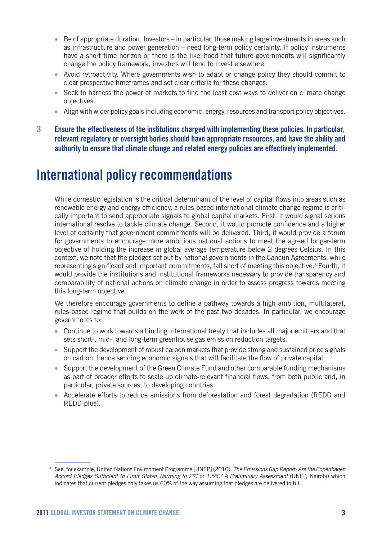- $\bullet$  Be of appropriate duration. Investors in particular, those making large investments in areas such as infrastructure and power generation – need long-term policy certainty. If policy instruments have a short time horizon or there is the likelihood that future governments will significantly change the policy framework, investors will tend to invest elsewhere.
- Avoid retroactivity. Where governments wish to adapt or change policy they should commit to clear prospective timeframes and set clear criteria for these changes.
- Seek to harness the power of markets to find the least cost ways to deliver on climate change objectives.
- Align with wider policy goals including economic, energy, resources and transport policy objectives.
- **3** Ensure the effectiveness of the institutions charged with implementing these policies. In particular, relevant regulatory or oversight bodies should have appropriate resources, and have the ability and authority to ensure that climate change and related energy policies are effectively implemented.

## International policy recommendations

While domestic legislation is the critical determinant of the level of capital flows into areas such as renewable energy and energy efficiency, a rules-based international climate change regime is critically important to send appropriate signals to global capital markets. First, it would signal serious international resolve to tackle climate change. Second, it would promote confidence and a higher level of certainty that government commitments will be delivered. Third, it would provide a forum for governments to encourage more ambitious national actions to meet the agreed longer-term objective of holding the increase in global average temperature below 2 degrees Celsius. In this context, we note that the pledges set out by national governments in the Cancun Agreements, while representing significant and important commitments, fall short of meeting this objective.<sup>3</sup> Fourth, it would provide the institutions and institutional frameworks necessary to provide transparency and comparability of national actions on climate change in order to assess progress towards meeting this long-term objective.

We therefore encourage governments to define a pathway towards a high ambition, multilateral, rules-based regime that builds on the work of the past two decades. In particular, we encourage governments to:

- Continue to work towards a binding international treaty that includes all major emitters and that sets short-, mid-, and long-term greenhouse gas emission reduction targets.
- Support the development of robust carbon markets that provide strong and sustained price signals on carbon, hence sending economic signals that will facilitate the flow of private capital.
- Support the development of the Green Climate Fund and other comparable funding mechanisms as part of broader efforts to scale up climate-relevant financial flows, from both public and, in particular, private sources, to developing countries.
- Accelerate efforts to reduce emissions from deforestation and forest degradation (REDD and REDD-plus).

<sup>3</sup> See, for example, United Nations Environment Programme [UNEP] (2010), *The Emissions Gap Report: Are the Copenhagen Accord Pledges Sufficient to Limit Global Warming to 2ºC or 1.5ºC? A Preliminary Assessment* (UNEP, Nairobi) which indicates that current pledges only takes us 60% of the way assuming that pledges are delivered in full.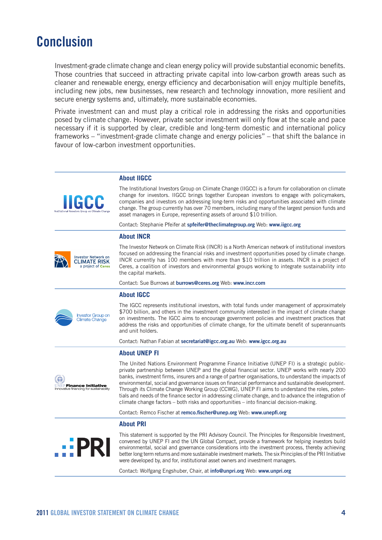#### Conclusion

Investment-grade climate change and clean energy policy will provide substantial economic benefits. Those countries that succeed in attracting private capital into low-carbon growth areas such as cleaner and renewable energy, energy efficiency and decarbonisation will enjoy multiple benefits, including new jobs, new businesses, new research and technology innovation, more resilient and secure energy systems and, ultimately, more sustainable economies.

Private investment can and must play a critical role in addressing the risks and opportunities posed by climate change. However, private sector investment will only flow at the scale and pace necessary if it is supported by clear, credible and long-term domestic and international policy frameworks – "investment-grade climate change and energy policies" – that shift the balance in favour of low-carbon investment opportunities.

#### **About IIGCC**

| <b>IIGCC</b>                                                         | The Institutional Investors Group on Climate Change (IIGCC) is a forum for collaboration on climate<br>change for investors. IIGCC brings together European investors to engage with policymakers,<br>companies and investors on addressing long-term risks and opportunities associated with climate<br>change. The group currently has over 70 members, including many of the largest pension funds and<br>asset managers in Europe, representing assets of around \$10 trillion.                                                                                                                                                                                                                            |
|----------------------------------------------------------------------|----------------------------------------------------------------------------------------------------------------------------------------------------------------------------------------------------------------------------------------------------------------------------------------------------------------------------------------------------------------------------------------------------------------------------------------------------------------------------------------------------------------------------------------------------------------------------------------------------------------------------------------------------------------------------------------------------------------|
|                                                                      | Contact: Stephanie Pfeifer at spfeifer@theclimategroup.org Web: www.iigcc.org                                                                                                                                                                                                                                                                                                                                                                                                                                                                                                                                                                                                                                  |
|                                                                      | <b>About INCR</b>                                                                                                                                                                                                                                                                                                                                                                                                                                                                                                                                                                                                                                                                                              |
| <b>Investor Network on</b><br>CLIMATE RISK<br>a project of Ceres     | The Investor Network on Climate Risk (INCR) is a North American network of institutional investors<br>focused on addressing the financial risks and investment opportunities posed by climate change.<br>INCR currently has 100 members with more than \$10 trillion in assets. INCR is a project of<br>Ceres, a coalition of investors and environmental groups working to integrate sustainability into<br>the capital markets.                                                                                                                                                                                                                                                                              |
|                                                                      | Contact: Sue Burrows at burrows@ceres.org Web: www.incr.com                                                                                                                                                                                                                                                                                                                                                                                                                                                                                                                                                                                                                                                    |
|                                                                      | <b>About IGCC</b>                                                                                                                                                                                                                                                                                                                                                                                                                                                                                                                                                                                                                                                                                              |
| Investor Group on<br>Climate Change                                  | The IGCC represents institutional investors, with total funds under management of approximately<br>\$700 billion, and others in the investment community interested in the impact of climate change<br>on investments. The IGCC aims to encourage government policies and investment practices that<br>address the risks and opportunities of climate change, for the ultimate benefit of superannuants<br>and unit holders.                                                                                                                                                                                                                                                                                   |
|                                                                      | Contact: Nathan Fabian at secretariat@igcc.org.au Web: www.igcc.org.au                                                                                                                                                                                                                                                                                                                                                                                                                                                                                                                                                                                                                                         |
|                                                                      | <b>About UNEP FI</b>                                                                                                                                                                                                                                                                                                                                                                                                                                                                                                                                                                                                                                                                                           |
| <b>Finance Initiative</b><br>Innovative financing for sustainability | The United Nations Environment Programme Finance Initiative (UNEP FI) is a strategic public-<br>private partnership between UNEP and the global financial sector. UNEP works with nearly 200<br>banks, investment firms, insurers and a range of partner organisations, to understand the impacts of<br>environmental, social and governance issues on financial performance and sustainable development.<br>Through its Climate Change Working Group (CCWG), UNEP FI aims to understand the roles, poten-<br>tials and needs of the finance sector in addressing climate change, and to advance the integration of<br>climate change factors – both risks and opportunities – into financial decision-making. |
|                                                                      | Contact: Remco Fischer at remco.fischer@unep.org Web: www.unepfi.org                                                                                                                                                                                                                                                                                                                                                                                                                                                                                                                                                                                                                                           |
|                                                                      | <b>About PRI</b>                                                                                                                                                                                                                                                                                                                                                                                                                                                                                                                                                                                                                                                                                               |
| .: PRI                                                               | This statement is supported by the PRI Advisory Council. The Principles for Responsible Investment,<br>convened by UNEP FI and the UN Global Compact, provide a framework for helping investors build<br>environmental, social and governance considerations into the investment process, thereby achieving<br>better long term returns and more sustainable investment markets. The six Principles of the PRI Initiative<br>were developed by, and for, institutional asset owners and investment managers.                                                                                                                                                                                                   |

Contact: Wolfgang Engshuber, Chair, at info@unpri.org Web: www.unpri.org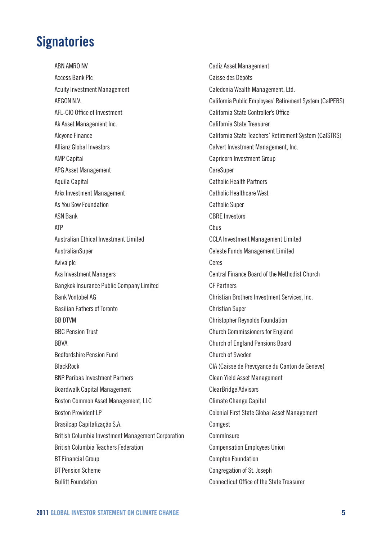ABN AMRO NV Access Bank Plc Acuity Investment Management AEGON N.V. AFL-CIO Office of Investment Ak Asset Management Inc. Alcyone Finance Allianz Global Investors AMP Capital APG Asset Management Aquila Capital Arkx Investment Management As You Sow Foundation ASN Bank ATP Australian Ethical Investment Limited AustralianSuper Aviva plc Axa Investment Managers Bangkok Insurance Public Company Limited Bank Vontobel AG Basilian Fathers of Toronto BB DTVM BBC Pension Trust BBVA Bedfordshire Pension Fund **BlackRock** BNP Paribas Investment Partners Boardwalk Capital Management Boston Common Asset Management, LLC Boston Provident LP Brasilcap Capitalização S.A. British Columbia Investment Management Corporation British Columbia Teachers Federation BT Financial Group BT Pension Scheme Bullitt Foundation

Cadiz Asset Management Caisse des Dépôts Caledonia Wealth Management, Ltd. California Public Employees' Retirement System (CalPERS) California State Controller's Office California State Treasurer California State Teachers' Retirement System (CalSTRS) Calvert Investment Management, Inc. Capricorn Investment Group CareSuper Catholic Health Partners Catholic Healthcare West Catholic Super CBRE Investors Cbus CCLA Investment Management Limited Celeste Funds Management Limited Ceres Central Finance Board of the Methodist Church CF Partners Christian Brothers Investment Services, Inc. Christian Super Christopher Reynolds Foundation Church Commissioners for England Church of England Pensions Board Church of Sweden CIA (Caisse de Prevoyance du Canton de Geneve) Clean Yield Asset Management ClearBridge Advisors Climate Change Capital Colonial First State Global Asset Management Comgest **CommInsure** Compensation Employees Union Compton Foundation Congregation of St. Joseph Connecticut Office of the State Treasurer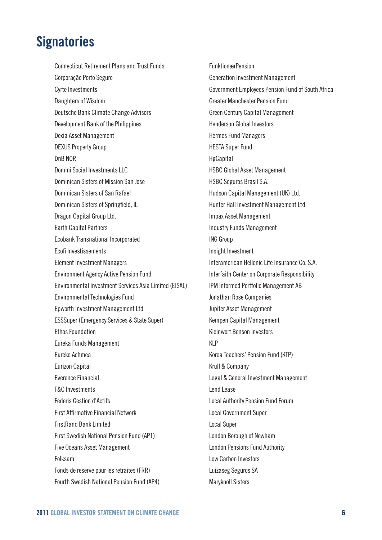Connecticut Retirement Plans and Trust Funds Corporação Porto Seguro Cyrte Investments Daughters of Wisdom Deutsche Bank Climate Change Advisors Development Bank of the Philippines Dexia Asset Management DEXUS Property Group DnB NOR Domini Social Investments LLC Dominican Sisters of Mission San Jose Dominican Sisters of San Rafael Dominican Sisters of Springfield, IL Dragon Capital Group Ltd. Earth Capital Partners Ecobank Transnational Incorporated Ecofi Investissements Element Investment Managers Environment Agency Active Pension Fund Environmental Investment Services Asia Limited (EISAL) Environmental Technologies Fund Epworth Investment Management Ltd ESSSuper (Emergency Services & State Super) Ethos Foundation Eureka Funds Management Eureko Achmea Eurizon Capital Everence Financial F&C Investments Federis Gestion d'Actifs First Affirmative Financial Network FirstRand Bank Limited First Swedish National Pension Fund (AP1) Five Oceans Asset Management Folksam Fonds de reserve pour les retraites (FRR) Fourth Swedish National Pension Fund (AP4)

FunktionærPension Generation Investment Management Government Employees Pension Fund of South Africa Greater Manchester Pension Fund Green Century Capital Management Henderson Global Investors Hermes Fund Managers HESTA Super Fund **HgCapital** HSBC Global Asset Management HSBC Seguros Brasil S.A. Hudson Capital Management (UK) Ltd. Hunter Hall Investment Management Ltd Impax Asset Management Industry Funds Management ING Group Insight Investment Interamerican Hellenic Life Insurance Co. S.A. Interfaith Center on Corporate Responsibility IPM Informed Portfolio Management AB Jonathan Rose Companies Jupiter Asset Management Kempen Capital Management Kleinwort Benson Investors KI<sub>P</sub> Korea Teachers' Pension Fund (KTP) Krull & Company Legal & General Investment Management Lend Lease Local Authority Pension Fund Forum Local Government Super Local Super London Borough of Newham London Pensions Fund Authority Low Carbon Investors Luizaseg Seguros SA Maryknoll Sisters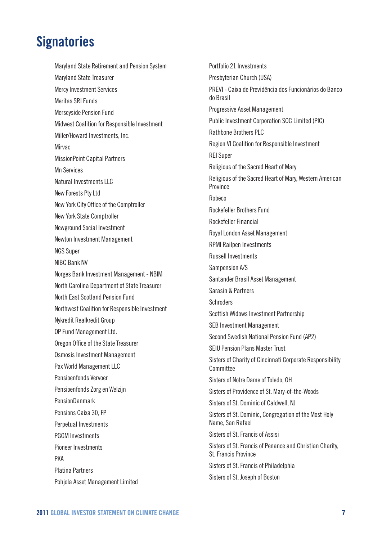Maryland State Retirement and Pension System Maryland State Treasurer Mercy Investment Services Meritas SRI Funds Merseyside Pension Fund Midwest Coalition for Responsible Investment Miller/Howard Investments, Inc. Mirvac MissionPoint Capital Partners Mn Services Natural Investments LLC New Forests Pty Ltd New York City Office of the Comptroller New York State Comptroller Newground Social Investment Newton Investment Management NGS Super NIBC Bank NV Norges Bank Investment Management - NBIM North Carolina Department of State Treasurer North East Scotland Pension Fund Northwest Coalition for Responsible Investment Nykredit Realkredit Group OP Fund Management Ltd. Oregon Office of the State Treasurer Osmosis Investment Management Pax World Management LLC Pensioenfonds Vervoer Pensioenfonds Zorg en Welzijn PensionDanmark Pensions Caixa 30, FP Perpetual Investments PGGM Investments Pioneer Investments PKA Platina Partners Pohiola Asset Management Limited

Portfolio 21 Investments Presbyterian Church (USA) PREVI - Caixa de Previdência dos Funcionários do Banco do Brasil Progressive Asset Management Public Investment Corporation SOC Limited (PIC) Rathbone Brothers PLC Region VI Coalition for Responsible Investment REI Super Religious of the Sacred Heart of Mary Religious of the Sacred Heart of Mary, Western American **Province** Robeco Rockefeller Brothers Fund Rockefeller Financial Royal London Asset Management RPMI Railpen Investments Russell Investments Sampension A/S Santander Brasil Asset Management Sarasin & Partners **Schroders** Scottish Widows Investment Partnership SEB Investment Management Second Swedish National Pension Fund (AP2) SEIU Pension Plans Master Trust Sisters of Charity of Cincinnati Corporate Responsibility **Committee** Sisters of Notre Dame of Toledo, OH Sisters of Providence of St. Mary-of-the-Woods Sisters of St. Dominic of Caldwell, NJ Sisters of St. Dominic, Congregation of the Most Holy Name, San Rafael Sisters of St. Francis of Assisi Sisters of St. Francis of Penance and Christian Charity, St. Francis Province Sisters of St. Francis of Philadelphia Sisters of St. Joseph of Boston